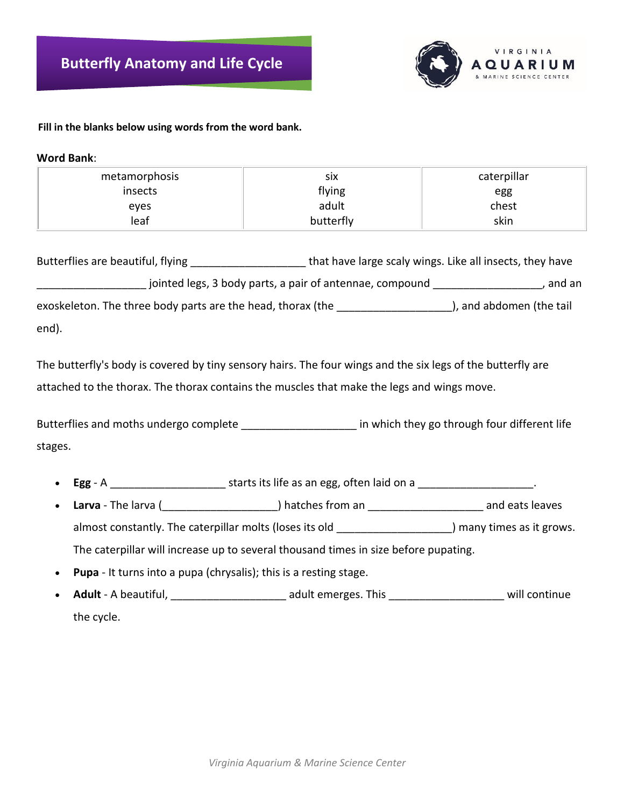

## **Fill in the blanks below using words from the word bank.**

**Word Bank**:

| metamorphosis | SIX       | caterpillar |
|---------------|-----------|-------------|
| insects       | flying    | egg         |
| eyes          | adult     | chest       |
| leaf          | butterfly | skin        |

Butterflies are beautiful, flying \_\_\_\_\_\_\_\_\_\_\_\_\_\_\_\_\_\_\_\_\_\_\_\_that have large scaly wings. Like all insects, they have \_\_\_\_\_\_\_\_\_\_\_\_\_\_\_\_\_\_ jointed legs, 3 body parts, a pair of antennae, compound \_\_\_\_\_\_\_\_\_\_\_\_\_\_\_\_\_\_, and an exoskeleton. The three body parts are the head, thorax (the accore the set of the tail and abdomen (the tail end).

The butterfly's body is covered by tiny sensory hairs. The four wings and the six legs of the butterfly are attached to the thorax. The thorax contains the muscles that make the legs and wings move.

Butterflies and moths undergo complete \_\_\_\_\_\_\_\_\_\_\_\_\_\_\_\_\_\_\_\_\_\_\_\_\_ in which they go through four different life stages.

- **Egg** A \_\_\_\_\_\_\_\_\_\_\_\_\_\_\_\_\_\_\_ starts its life as an egg, often laid on a \_\_\_\_\_\_\_\_\_\_\_\_\_\_\_\_\_\_\_.
- **Larva** The larva (\_\_\_\_\_\_\_\_\_\_\_\_\_\_\_\_\_\_\_) hatches from an \_\_\_\_\_\_\_\_\_\_\_\_\_\_\_\_\_\_\_ and eats leaves almost constantly. The caterpillar molts (loses its old  $\Box$ ) many times as it grows. The caterpillar will increase up to several thousand times in size before pupating.
- **Pupa** It turns into a pupa (chrysalis); this is a resting stage.
- **Adult** A beautiful, the contract adult emerges. This the continue will continue the cycle.